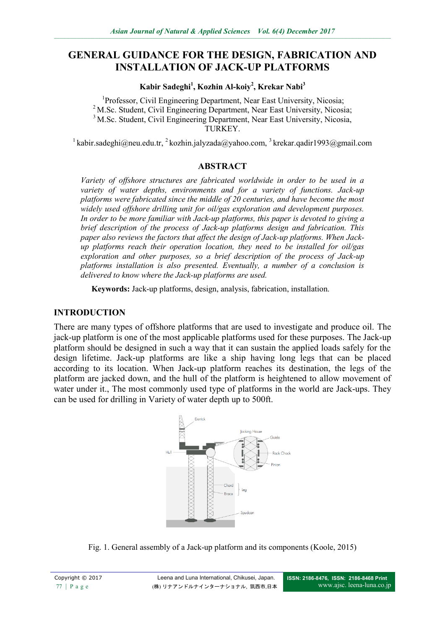# **GENERAL GUIDANCE FOR THE DESIGN, FABRICATION AND INSTALLATION OF JACK-UP PLATFORMS**

**Kabir Sadeghi<sup>1</sup> , Kozhin Al-koiy<sup>2</sup> , Krekar Nabi<sup>3</sup>**

<sup>1</sup>Professor, Civil Engineering Department, Near East University, Nicosia; <sup>2</sup> M.Sc. Student, Civil Engineering Department, Near East University, Nicosia; <sup>3</sup> M.Sc. Student, Civil Engineering Department, Near East University, Nicosia, TURKEY.

<sup>1</sup> [kabir.sadeghi@neu.edu.tr,](mailto:kabir.sadeghi@neu.edu.tr) <sup>2</sup> [kozhin.jalyzada@yahoo.com,](mailto:kozhin.jalyzada@yahoo.com) <sup>3</sup> [krekar.qadir1993@gmail.com](mailto:krekar.qadir1993@gmail.com)

## **ABSTRACT**

*Variety of offshore structures are fabricated worldwide in order to be used in a variety of water depths, environments and for a variety of functions. Jack-up platforms were fabricated since the middle of 20 centuries, and have become the most widely used offshore drilling unit for oil/gas exploration and development purposes. In order to be more familiar with Jack-up platforms, this paper is devoted to giving a brief description of the process of Jack-up platforms design and fabrication. This paper also reviews the factors that affect the design of Jack-up platforms. When Jackup platforms reach their operation location, they need to be installed for oil/gas exploration and other purposes, so a brief description of the process of Jack-up platforms installation is also presented. Eventually, a number of a conclusion is delivered to know where the Jack-up platforms are used.*

**Keywords:** Jack-up platforms, design, analysis, fabrication, installation.

## **INTRODUCTION**

There are many types of offshore platforms that are used to investigate and produce oil. The jack-up platform is one of the most applicable platforms used for these purposes. The Jack-up platform should be designed in such a way that it can sustain the applied loads safely for the design lifetime. Jack-up platforms are like a ship having long legs that can be placed according to its location. When Jack-up platform reaches its destination, the legs of the platform are jacked down, and the hull of the platform is heightened to allow movement of water under it., The most commonly used type of platforms in the world are Jack-ups. They can be used for drilling in Variety of water depth up to 500ft.



Fig. 1. General assembly of a Jack-up platform and its components (Koole, 2015)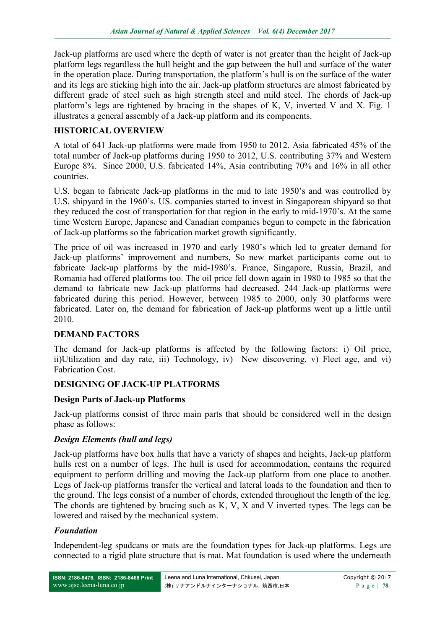Jack-up platforms are used where the depth of water is not greater than the height of Jack-up platform legs regardless the hull height and the gap between the hull and surface of the water in the operation place. During transportation, the platform's hull is on the surface of the water and its legs are sticking high into the air. Jack-up platform structures are almost fabricated by different grade of steel such as high strength steel and mild steel. The chords of Jack-up platform's legs are tightened by bracing in the shapes of K, V, inverted V and X. Fig. 1 illustrates a general assembly of a Jack-up platform and its components.

# **HISTORICAL OVERVIEW**

A total of 641 Jack-up platforms were made from 1950 to 2012. Asia fabricated 45% of the total number of Jack-up platforms during 1950 to 2012, U.S. contributing 37% and Western Europe 8%. Since 2000, U.S. fabricated 14%, Asia contributing 70% and 16% in all other countries.

U.S. began to fabricate Jack-up platforms in the mid to late 1950's and was controlled by U.S. shipyard in the 1960's. US. companies started to invest in Singaporean shipyard so that they reduced the cost of transportation for that region in the early to mid-1970's. At the same time Western Europe, Japanese and Canadian companies begun to compete in the fabrication of Jack-up platforms so the fabrication market growth significantly.

The price of oil was increased in 1970 and early 1980's which led to greater demand for Jack-up platforms' improvement and numbers, So new market participants come out to fabricate Jack-up platforms by the mid-1980's. France, Singapore, Russia, Brazil, and Romania had offered platforms too. The oil price fell down again in 1980 to 1985 so that the demand to fabricate new Jack-up platforms had decreased. 244 Jack-up platforms were fabricated during this period. However, between 1985 to 2000, only 30 platforms were fabricated. Later on, the demand for fabrication of Jack-up platforms went up a little until 2010.

# **DEMAND FACTORS**

The demand for Jack-up platforms is affected by the following factors: i) Oil price, ii)Utilization and day rate, iii) Technology, iv) New discovering, v) Fleet age, and vi) Fabrication Cost.

#### **DESIGNING OF JACK-UP PLATFORMS**

#### **Design Parts of Jack-up Platforms**

Jack-up platforms consist of three main parts that should be considered well in the design phase as follows:

#### *Design Elements (hull and legs)*

Jack-up platforms have box hulls that have a variety of shapes and heights, Jack-up platform hulls rest on a number of legs. The hull is used for accommodation, contains the required equipment to perform drilling and moving the Jack-up platform from one place to another. Legs of Jack-up platforms transfer the vertical and lateral loads to the foundation and then to the ground. The legs consist of a number of chords, extended throughout the length of the leg. The chords are tightened by bracing such as K, V, X and V inverted types. The legs can be lowered and raised by the mechanical system.

#### *Foundation*

Independent-leg spudcans or mats are the foundation types for Jack-up platforms. Legs are connected to a rigid plate structure that is mat. Mat foundation is used where the underneath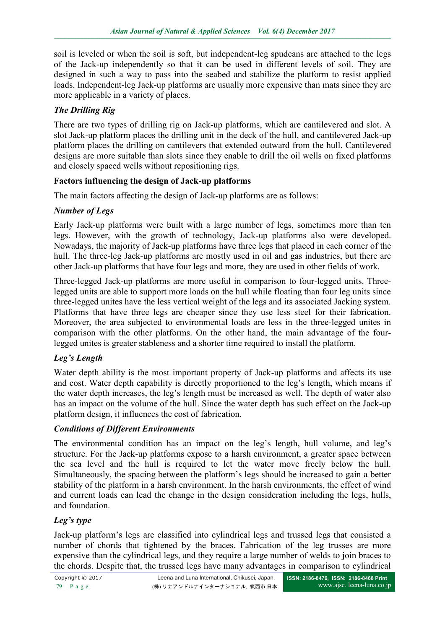soil is leveled or when the soil is soft, but independent-leg spudcans are attached to the legs of the Jack-up independently so that it can be used in different levels of soil. They are designed in such a way to pass into the seabed and stabilize the platform to resist applied loads. Independent-leg Jack-up platforms are usually more expensive than mats since they are more applicable in a variety of places.

# *The Drilling Rig*

There are two types of drilling rig on Jack-up platforms, which are cantilevered and slot. A slot Jack-up platform places the drilling unit in the deck of the hull, and cantilevered Jack-up platform places the drilling on cantilevers that extended outward from the hull. Cantilevered designs are more suitable than slots since they enable to drill the oil wells on fixed platforms and closely spaced wells without repositioning rigs.

## **Factors influencing the design of Jack-up platforms**

The main factors affecting the design of Jack-up platforms are as follows:

## *Number of Legs*

Early Jack-up platforms were built with a large number of legs, sometimes more than ten legs. However, with the growth of technology, Jack-up platforms also were developed. Nowadays, the majority of Jack-up platforms have three legs that placed in each corner of the hull. The three-leg Jack-up platforms are mostly used in oil and gas industries, but there are other Jack-up platforms that have four legs and more, they are used in other fields of work.

Three-legged Jack-up platforms are more useful in comparison to four-legged units. Threelegged units are able to support more loads on the hull while floating than four leg units since three-legged unites have the less vertical weight of the legs and its associated Jacking system. Platforms that have three legs are cheaper since they use less steel for their fabrication. Moreover, the area subjected to environmental loads are less in the three-legged unites in comparison with the other platforms. On the other hand, the main advantage of the fourlegged unites is greater stableness and a shorter time required to install the platform.

# *Leg's Length*

Water depth ability is the most important property of Jack-up platforms and affects its use and cost. Water depth capability is directly proportioned to the leg's length, which means if the water depth increases, the leg's length must be increased as well. The depth of water also has an impact on the volume of the hull. Since the water depth has such effect on the Jack-up platform design, it influences the cost of fabrication.

#### *Conditions of Different Environments*

The environmental condition has an impact on the leg's length, hull volume, and leg's structure. For the Jack-up platforms expose to a harsh environment, a greater space between the sea level and the hull is required to let the water move freely below the hull. Simultaneously, the spacing between the platform's legs should be increased to gain a better stability of the platform in a harsh environment. In the harsh environments, the effect of wind and current loads can lead the change in the design consideration including the legs, hulls, and foundation.

# *Leg's type*

Jack-up platform's legs are classified into cylindrical legs and trussed legs that consisted a number of chords that tightened by the braces. Fabrication of the leg trusses are more expensive than the cylindrical legs, and they require a large number of welds to join braces to the chords. Despite that, the trussed legs have many advantages in comparison to cylindrical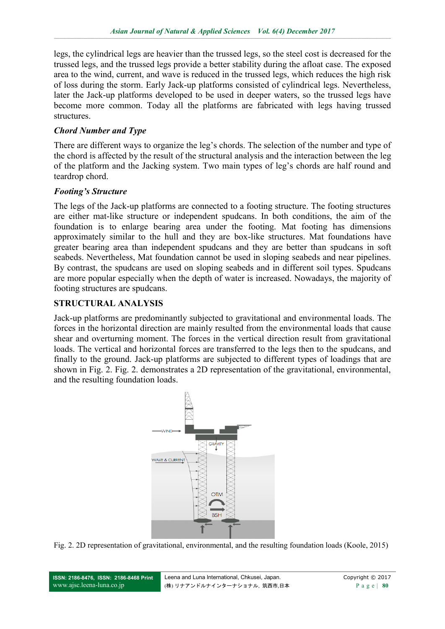legs, the cylindrical legs are heavier than the trussed legs, so the steel cost is decreased for the trussed legs, and the trussed legs provide a better stability during the afloat case. The exposed area to the wind, current, and wave is reduced in the trussed legs, which reduces the high risk of loss during the storm. Early Jack-up platforms consisted of cylindrical legs. Nevertheless, later the Jack-up platforms developed to be used in deeper waters, so the trussed legs have become more common. Today all the platforms are fabricated with legs having trussed structures.

# *Chord Number and Type*

There are different ways to organize the leg's chords. The selection of the number and type of the chord is affected by the result of the structural analysis and the interaction between the leg of the platform and the Jacking system. Two main types of leg's chords are half round and teardrop chord.

#### *Footing's Structure*

The legs of the Jack-up platforms are connected to a footing structure. The footing structures are either mat-like structure or independent spudcans. In both conditions, the aim of the foundation is to enlarge bearing area under the footing. Mat footing has dimensions approximately similar to the hull and they are box-like structures. Mat foundations have greater bearing area than independent spudcans and they are better than spudcans in soft seabeds. Nevertheless, Mat foundation cannot be used in sloping seabeds and near pipelines. By contrast, the spudcans are used on sloping seabeds and in different soil types. Spudcans are more popular especially when the depth of water is increased. Nowadays, the majority of footing structures are spudcans.

## **STRUCTURAL ANALYSIS**

Jack-up platforms are predominantly subjected to gravitational and environmental loads. The forces in the horizontal direction are mainly resulted from the environmental loads that cause shear and overturning moment. The forces in the vertical direction result from gravitational loads. The vertical and horizontal forces are transferred to the legs then to the spudcans, and finally to the ground. Jack-up platforms are subjected to different types of loadings that are shown in Fig. 2. Fig. 2. demonstrates a 2D representation of the gravitational, environmental, and the resulting foundation loads.



Fig. 2. 2D representation of gravitational, environmental, and the resulting foundation loads (Koole, 2015)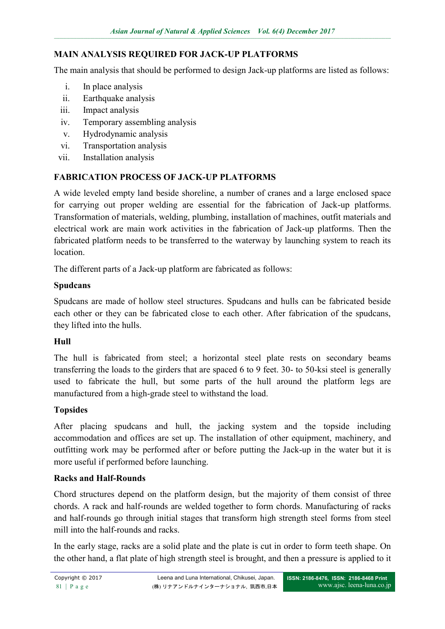# **MAIN ANALYSIS REQUIRED FOR JACK-UP PLATFORMS**

The main analysis that should be performed to design Jack-up platforms are listed as follows:

- i. In place analysis
- ii. Earthquake analysis
- iii. Impact analysis
- iv. Temporary assembling analysis
- v. Hydrodynamic analysis
- vi. Transportation analysis
- vii. Installation analysis

## **FABRICATION PROCESS OF JACK-UP PLATFORMS**

A wide leveled empty land beside shoreline, a number of cranes and a large enclosed space for carrying out proper welding are essential for the fabrication of Jack-up platforms. Transformation of materials, welding, plumbing, installation of machines, outfit materials and electrical work are main work activities in the fabrication of Jack-up platforms. Then the fabricated platform needs to be transferred to the waterway by launching system to reach its location.

The different parts of a Jack-up platform are fabricated as follows:

#### **Spudcans**

Spudcans are made of hollow steel structures. Spudcans and hulls can be fabricated beside each other or they can be fabricated close to each other. After fabrication of the spudcans, they lifted into the hulls.

#### **Hull**

The hull is fabricated from steel; a horizontal steel plate rests on secondary beams transferring the loads to the girders that are spaced 6 to 9 feet. 30- to 50-ksi steel is generally used to fabricate the hull, but some parts of the hull around the platform legs are manufactured from a high-grade steel to withstand the load.

#### **Topsides**

After placing spudcans and hull, the jacking system and the topside including accommodation and offices are set up. The installation of other equipment, machinery, and outfitting work may be performed after or before putting the Jack-up in the water but it is more useful if performed before launching.

#### **Racks and Half-Rounds**

Chord structures depend on the platform design, but the majority of them consist of three chords. A rack and half-rounds are welded together to form chords. Manufacturing of racks and half-rounds go through initial stages that transform high strength steel forms from steel mill into the half-rounds and racks.

In the early stage, racks are a solid plate and the plate is cut in order to form teeth shape. On the other hand, a flat plate of high strength steel is brought, and then a pressure is applied to it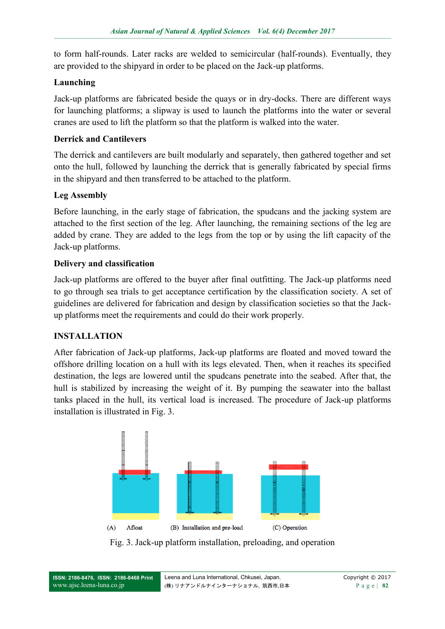to form half-rounds. Later racks are welded to semicircular (half-rounds). Eventually, they are provided to the shipyard in order to be placed on the Jack-up platforms.

## **Launching**

Jack-up platforms are fabricated beside the quays or in dry-docks. There are different ways for launching platforms; a slipway is used to launch the platforms into the water or several cranes are used to lift the platform so that the platform is walked into the water.

## **Derrick and Cantilevers**

The derrick and cantilevers are built modularly and separately, then gathered together and set onto the hull, followed by launching the derrick that is generally fabricated by special firms in the shipyard and then transferred to be attached to the platform.

# **Leg Assembly**

Before launching, in the early stage of fabrication, the spudcans and the jacking system are attached to the first section of the leg. After launching, the remaining sections of the leg are added by crane. They are added to the legs from the top or by using the lift capacity of the Jack-up platforms.

## **Delivery and classification**

Jack-up platforms are offered to the buyer after final outfitting. The Jack-up platforms need to go through sea trials to get acceptance certification by the classification society. A set of guidelines are delivered for fabrication and design by classification societies so that the Jackup platforms meet the requirements and could do their work properly.

# **INSTALLATION**

After fabrication of Jack-up platforms, Jack-up platforms are floated and moved toward the offshore drilling location on a hull with its legs elevated. Then, when it reaches its specified destination, the legs are lowered until the spudcans penetrate into the seabed. After that, the hull is stabilized by increasing the weight of it. By pumping the seawater into the ballast tanks placed in the hull, its vertical load is increased. The procedure of Jack-up platforms installation is illustrated in Fig. 3.



Fig. 3. Jack-up platform installation, preloading, and operation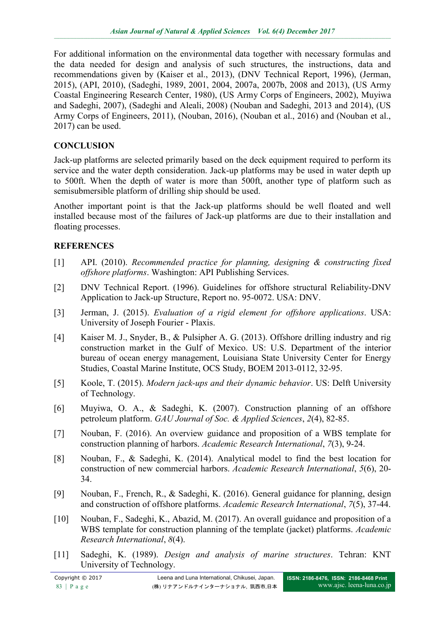For additional information on the environmental data together with necessary formulas and the data needed for design and analysis of such structures, the instructions, data and recommendations given by (Kaiser et al., 2013), (DNV Technical Report, 1996), (Jerman, 2015), (API, 2010), (Sadeghi, 1989, 2001, 2004, 2007a, 2007b, 2008 and 2013), (US Army Coastal Engineering Research Center, 1980), (US Army Corps of Engineers, 2002), Muyiwa and Sadeghi, 2007), (Sadeghi and Aleali, 2008) (Nouban and Sadeghi, 2013 and 2014), (US Army Corps of Engineers, 2011), (Nouban, 2016), (Nouban et al., 2016) and (Nouban et al., 2017) can be used.

## **CONCLUSION**

Jack-up platforms are selected primarily based on the deck equipment required to perform its service and the water depth consideration. Jack-up platforms may be used in water depth up to 500ft. When the depth of water is more than 500ft, another type of platform such as semisubmersible platform of drilling ship should be used.

Another important point is that the Jack-up platforms should be well floated and well installed because most of the failures of Jack-up platforms are due to their installation and floating processes.

## **REFERENCES**

- [1] API. (2010). *Recommended practice for planning, designing & constructing fixed offshore platforms*. Washington: API Publishing Services.
- [2] DNV Technical Report. (1996). Guidelines for offshore structural Reliability-DNV Application to Jack-up Structure, Report no. 95-0072. USA: DNV.
- [3] Jerman, J. (2015). *Evaluation of a rigid element for offshore applications*. USA: University of Joseph Fourier - Plaxis.
- [4] Kaiser M. J., Snyder, B., & Pulsipher A. G. (2013). Offshore drilling industry and rig construction market in the Gulf of Mexico. US: U.S. Department of the interior bureau of ocean energy management, Louisiana State University Center for Energy Studies, Coastal Marine Institute, OCS Study, BOEM 2013-0112, 32-95.
- [5] Koole, T. (2015). *Modern jack-ups and their dynamic behavior*. US: Delft University of Technology.
- [6] Muyiwa, O. A., & Sadeghi, K. (2007). Construction planning of an offshore petroleum platform. *GAU Journal of Soc. & Applied Sciences*, *2*(4), 82-85.
- [7] Nouban, F. (2016). An overview guidance and proposition of a WBS template for construction planning of harbors. *Academic Research International*, *7*(3), 9-24.
- [8] Nouban, F., & Sadeghi, K. (2014). Analytical model to find the best location for construction of new commercial harbors. *Academic Research International*, *5*(6), 20- 34.
- [9] Nouban, F., French, R., & Sadeghi, K. (2016). General guidance for planning, design and construction of offshore platforms. *Academic Research International*, *7*(5), 37-44.
- [10] Nouban, F., Sadeghi, K., Abazid, M. (2017). An overall guidance and proposition of a WBS template for construction planning of the template (jacket) platforms. *Academic Research International*, *8*(4).
- [11] Sadeghi, K. (1989). *Design and analysis of marine structures*. Tehran: KNT University of Technology.